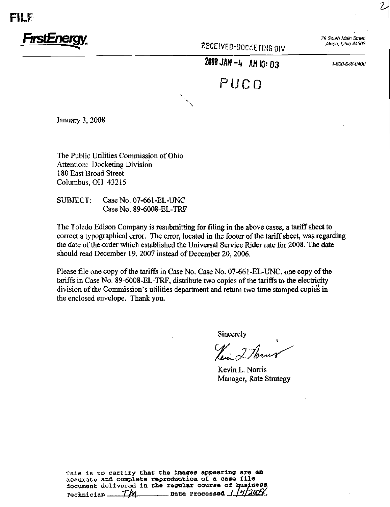



 $KEUEIVED-DOCKETHER<sub>1</sub>NG<sub>1</sub>NG<sub>2</sub>$ 

**2008 JAN -4 AM 10: 03** 1-800-646-0400

PUC 0

January 3, 2008

The Public Utilities Commission of Ohio Attention: Docketing Division 180 East Broad Street Columbus, OH 43215

SUBJECT: Case No. 07-661-EL-UNC Case No. 89-6008-EL-TRF

The Toledo Edison Company is resubmitting for filing in the above cases, a tariff sheet to correct a typographical error. The error, located in the footer of the tariff sheet, was regarding the date of the order which established the Universal Service Rider rate for 2008. The date should read December 19, 2007 instead of December 20, 2006.

Please file one copy of the tariffs in Case No. Case No. 07-661-EL-UNC, one copy of the tariffs in Case No. 89-6008-EL-TRF, distribute two copies of the tariffs to the electricity division of the Commission's utilities department and return two time stamped copies in the enclosed envelope. Thank you.

Sincerely

 $\mathcal{U}$  2 Th

Kevin L. Norris Manager, Rate Strategy